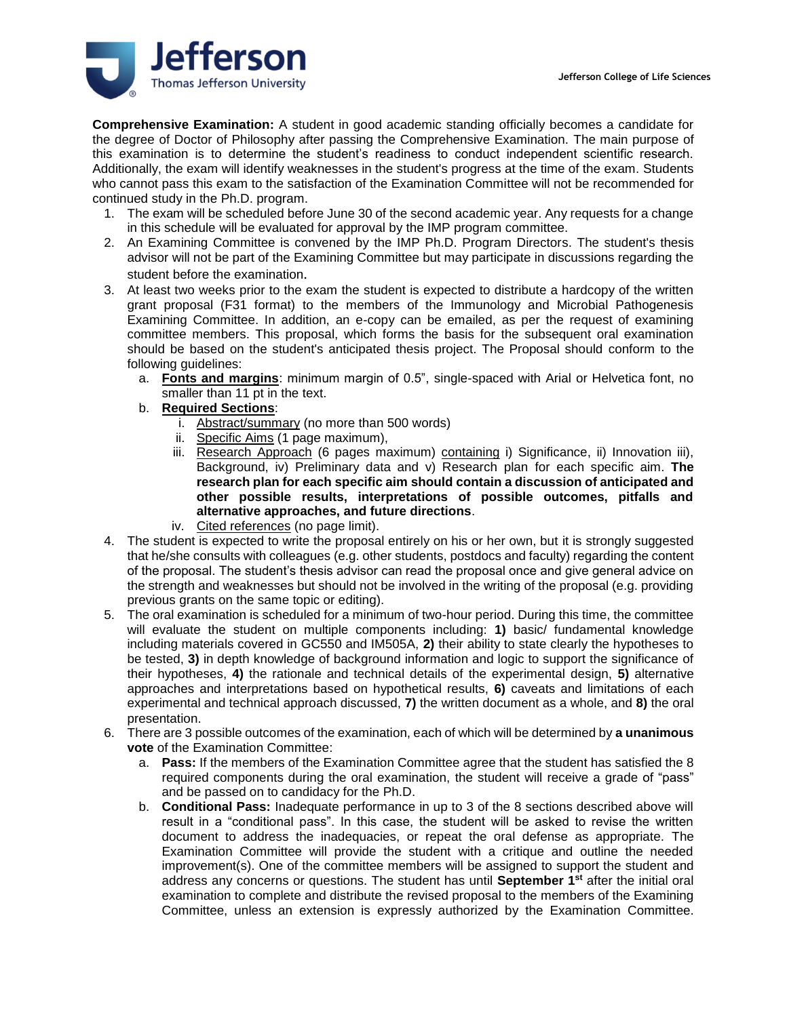

**Comprehensive Examination:** A student in good academic standing officially becomes a candidate for the degree of Doctor of Philosophy after passing the Comprehensive Examination. The main purpose of this examination is to determine the student's readiness to conduct independent scientific research. Additionally, the exam will identify weaknesses in the student's progress at the time of the exam. Students who cannot pass this exam to the satisfaction of the Examination Committee will not be recommended for continued study in the Ph.D. program.

- 1. The exam will be scheduled before June 30 of the second academic year. Any requests for a change in this schedule will be evaluated for approval by the IMP program committee.
- 2. An Examining Committee is convened by the IMP Ph.D. Program Directors. The student's thesis advisor will not be part of the Examining Committee but may participate in discussions regarding the student before the examination.
- 3. At least two weeks prior to the exam the student is expected to distribute a hardcopy of the written grant proposal (F31 format) to the members of the Immunology and Microbial Pathogenesis Examining Committee. In addition, an e-copy can be emailed, as per the request of examining committee members. This proposal, which forms the basis for the subsequent oral examination should be based on the student's anticipated thesis project. The Proposal should conform to the following guidelines:
	- a. **Fonts and margins**: minimum margin of 0.5", single-spaced with Arial or Helvetica font, no smaller than 11 pt in the text.
	- b. **Required Sections**:
		- i. Abstract/summary (no more than 500 words)
		- ii. Specific Aims (1 page maximum),
		- iii. Research Approach (6 pages maximum) containing i) Significance, ii) Innovation iii), Background, iv) Preliminary data and v) Research plan for each specific aim. **The research plan for each specific aim should contain a discussion of anticipated and other possible results, interpretations of possible outcomes, pitfalls and alternative approaches, and future directions**.
		- iv. Cited references (no page limit).
- 4. The student is expected to write the proposal entirely on his or her own, but it is strongly suggested that he/she consults with colleagues (e.g. other students, postdocs and faculty) regarding the content of the proposal. The student's thesis advisor can read the proposal once and give general advice on the strength and weaknesses but should not be involved in the writing of the proposal (e.g. providing previous grants on the same topic or editing).
- 5. The oral examination is scheduled for a minimum of two-hour period. During this time, the committee will evaluate the student on multiple components including: **1)** basic/ fundamental knowledge including materials covered in GC550 and IM505A, **2)** their ability to state clearly the hypotheses to be tested, **3)** in depth knowledge of background information and logic to support the significance of their hypotheses, **4)** the rationale and technical details of the experimental design, **5)** alternative approaches and interpretations based on hypothetical results, **6)** caveats and limitations of each experimental and technical approach discussed, **7)** the written document as a whole, and **8)** the oral presentation.
- 6. There are 3 possible outcomes of the examination, each of which will be determined by **a unanimous vote** of the Examination Committee:
	- a. **Pass:** If the members of the Examination Committee agree that the student has satisfied the 8 required components during the oral examination, the student will receive a grade of "pass" and be passed on to candidacy for the Ph.D.
	- b. **Conditional Pass:** Inadequate performance in up to 3 of the 8 sections described above will result in a "conditional pass". In this case, the student will be asked to revise the written document to address the inadequacies, or repeat the oral defense as appropriate. The Examination Committee will provide the student with a critique and outline the needed improvement(s). One of the committee members will be assigned to support the student and address any concerns or questions. The student has until **September 1st** after the initial oral examination to complete and distribute the revised proposal to the members of the Examining Committee, unless an extension is expressly authorized by the Examination Committee.